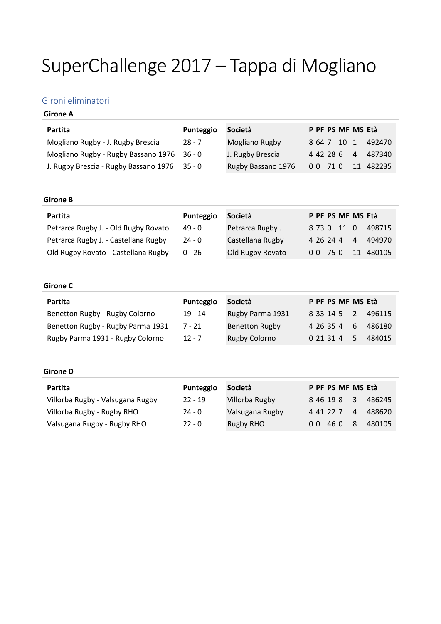# SuperChallenge 2017 – Tappa di Mogliano

# Gironi eliminatori

# **Girone A**

| Partita                                      | Punteggio | Società            |  |             | P PF PS MF MS Età  |
|----------------------------------------------|-----------|--------------------|--|-------------|--------------------|
| Mogliano Rugby - J. Rugby Brescia            | 28 - 7    | Mogliano Rugby     |  | 8 64 7 10 1 | 492470             |
| Mogliano Rugby - Rugby Bassano 1976 36 - 0   |           | J. Rugby Brescia   |  |             | 4 42 28 6 4 487340 |
| J. Rugby Brescia - Rugby Bassano 1976 35 - 0 |           | Rugby Bassano 1976 |  |             | 0 0 71 0 11 482235 |

### **Girone B**

| Partita                              | Punteggio | Società           |           |             | P PF PS MF MS Età |           |
|--------------------------------------|-----------|-------------------|-----------|-------------|-------------------|-----------|
| Petrarca Rugby J. - Old Rugby Rovato | 49 - 0    | Petrarca Rugby J. |           | 8 73 0 11 0 |                   | 498715    |
| Petrarca Rugby J. - Castellana Rugby | $24 - 0$  | Castellana Rugby  | 4 26 24 4 |             | $\overline{4}$    | 494970    |
| Old Rugby Rovato - Castellana Rugby  | $0 - 26$  | Old Rugby Rovato  | 00 75 0   |             |                   | 11 480105 |

#### **Girone C**

| Partita                           | Punteggio | Società               | P PF PS MF MS Età |                |        |
|-----------------------------------|-----------|-----------------------|-------------------|----------------|--------|
| Benetton Rugby - Rugby Colorno    | $19 - 14$ | Rugby Parma 1931      | 8 33 14 5 2       |                | 496115 |
| Benetton Rugby - Rugby Parma 1931 | 7 - 21    | <b>Benetton Rugby</b> | 4 26 35 4         | 6 <sup>1</sup> | 486180 |
| Rugby Parma 1931 - Rugby Colorno  | $12 - 7$  | <b>Rugby Colorno</b>  | 0 21 31 4         | .5.            | 484015 |

# **Girone D**

| Partita                          | Punteggio | Società         |    |           | P PF PS MF MS Età |                         |        |
|----------------------------------|-----------|-----------------|----|-----------|-------------------|-------------------------|--------|
| Villorba Rugby - Valsugana Rugby | $22 - 19$ | Villorba Rugby  |    | 8 46 19 8 |                   | $\overline{\mathbf{3}}$ | 486245 |
| Villorba Rugby - Rugby RHO       | $24 - 0$  | Valsugana Rugby |    | 4 41 22 7 |                   | $\overline{4}$          | 488620 |
| Valsugana Rugby - Rugby RHO      | $22 - 0$  | Rugby RHO       | 00 | 46 0      |                   | -8                      | 480105 |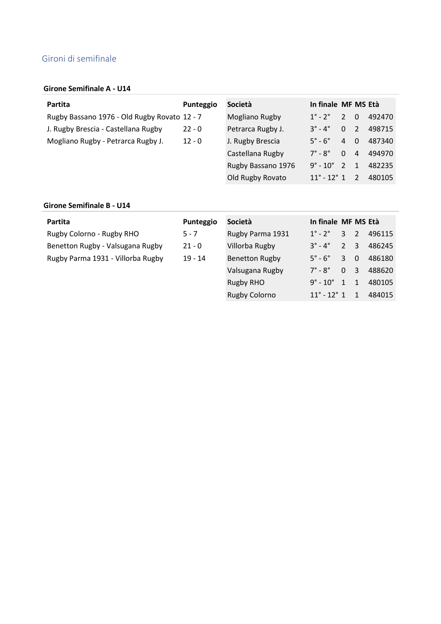# Gironi di semifinale

### **Girone Semifinale A - U14**

| Partita                                      | Punteggio | Società            | In finale MF MS Età            |                |                |        |
|----------------------------------------------|-----------|--------------------|--------------------------------|----------------|----------------|--------|
| Rugby Bassano 1976 - Old Rugby Rovato 12 - 7 |           | Mogliano Rugby     | $1^\circ$ - $2^\circ$          | $\sqrt{2}$     | $\Omega$       | 492470 |
| J. Rugby Brescia - Castellana Rugby          | $22 - 0$  | Petrarca Rugby J.  | $3^\circ$ - $4^\circ$          | 0 <sub>2</sub> |                | 498715 |
| Mogliano Rugby - Petrarca Rugby J.           | $12 - 0$  | J. Rugby Brescia   | $5^\circ$ - $6^\circ$          | 4              | $\overline{0}$ | 487340 |
|                                              |           | Castellana Rugby   | $7^\circ$ - $8^\circ$          | $\Omega$       | $\overline{4}$ | 494970 |
|                                              |           | Rugby Bassano 1976 | $9^{\circ}$ - 10 $^{\circ}$    | $-2$           | $\mathbf{1}$   | 482235 |
|                                              |           | Old Rugby Rovato   | $11^{\circ}$ - 12 $^{\circ}$ 1 |                | $\mathcal{P}$  | 480105 |

### **Girone Semifinale B - U14**

| Partita                           | Punteggio | Società               | In finale MF MS Età        |                  |                         |        |
|-----------------------------------|-----------|-----------------------|----------------------------|------------------|-------------------------|--------|
| Rugby Colorno - Rugby RHO         | $5 - 7$   | Rugby Parma 1931      | $1^\circ$ - $2^\circ$      | $3 \quad 2$      |                         | 496115 |
| Benetton Rugby - Valsugana Rugby  | $21 - 0$  | Villorba Rugby        | $3^\circ$ - $4^\circ$      | 2 <sup>3</sup>   |                         | 486245 |
| Rugby Parma 1931 - Villorba Rugby | $19 - 14$ | <b>Benetton Rugby</b> | $5^\circ$ - $6^\circ$      | $\mathbf{3}$     | - 0                     | 486180 |
|                                   |           | Valsugana Rugby       | $7^\circ$ - $8^\circ$      | $\mathbf{0}$     | $\overline{\mathbf{3}}$ | 488620 |
|                                   |           | <b>Rugby RHO</b>      | $9^{\circ}$ - $10^{\circ}$ | $\left  \right $ | $\overline{1}$          | 480105 |

Rugby Colorno 11° - 12° 1 1 484015